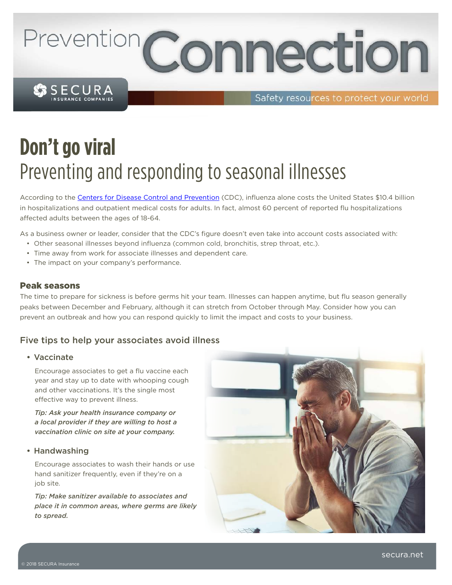# Prevention Connection

SSECURA

Safety resources to protect your world

# **Don't go viral** Preventing and responding to seasonal illnesses

According to the [Centers for Disease Control and Prevention](https://www.cdc.gov/flu/about/season/flu-season-2017-2018.htm) (CDC), influenza alone costs the United States \$10.4 billion in hospitalizations and outpatient medical costs for adults. In fact, almost 60 percent of reported flu hospitalizations affected adults between the ages of 18-64.

As a business owner or leader, consider that the CDC's figure doesn't even take into account costs associated with:

- Other seasonal illnesses beyond influenza (common cold, bronchitis, strep throat, etc.).
- Time away from work for associate illnesses and dependent care.
- The impact on your company's performance.

#### Peak seasons

The time to prepare for sickness is before germs hit your team. Illnesses can happen anytime, but flu season generally peaks between December and February, although it can stretch from October through May. Consider how you can prevent an outbreak and how you can respond quickly to limit the impact and costs to your business.

### Five tips to help your associates avoid illness

#### • Vaccinate

Encourage associates to get a flu vaccine each year and stay up to date with whooping cough and other vaccinations. It's the single most effective way to prevent illness.

*Tip: Ask your health insurance company or a local provider if they are willing to host a vaccination clinic on site at your company.* 

#### • Handwashing

Encourage associates to wash their hands or use hand sanitizer frequently, even if they're on a job site.

*Tip: Make sanitizer available to associates and place it in common areas, where germs are likely to spread.*